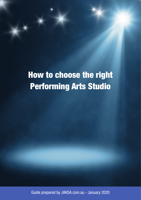# How to choose the right Performing Arts Studio

Guide prepared by JAKSA.com.au - January 2020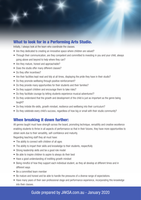## What to look for in a Performing Arts Studio.

Initially, I always look at the team who coordinate the classes.

- Are they dedicated to creating an innovative space where children are valued?
- Through their communication, are they competent and committed to investing in you and your child, always going above and beyond to help where they can?
- Are they mature, honest and approachable?
- Does the studio offer many different classes?
- Do they offer incentives?
- Are their facilities kept neat and tidy at all times, displaying the pride they have in their studio?
- Do they promote wellbeing through positive reinforcement?
- Do they provide many opportunities for their students and their families?
- Do they support children and encourage them to take risks?
- Do they facilitate courage by letting students experience musical adventures!?
- Do they understand that the growth and development of the child is just as important as the genre being taught?
- Do they imbide life-skills, growth mindset, resilience and wellbeing into their curriculum?
- Do they celebrate every child's success, regardless of how big or small with their studio community?

## When breaking it down further:

All genres taught must have strength across the board, promoting technique, versatility and creative excellence enabling students to thrive in all aspects of performance so that in their futures, they have more opportunities to obtain work due to their versatility, self-confidence and maturity.

Regarding teaching staff they all must have:

- The ability to connect with children of all ages
- The ability to impart their skills and knowledge to their students, respectfully
- Strong leadership skills and be a good role model
- Be able to inspire children to aspire to always do their best
- Have a good understanding of instilling growth mindset
- Being mindful of how they support each individual student, as they all develop at different times and in different ways
- Be a committed team member
- Be mature and honest and be able to handle the pressures of a diverse range of expectations.
- Have many years of their own professional stage and performance experience, incorporating this knowledge into their classes.

# Guide prepared by JAKSA.com.au - January 2020